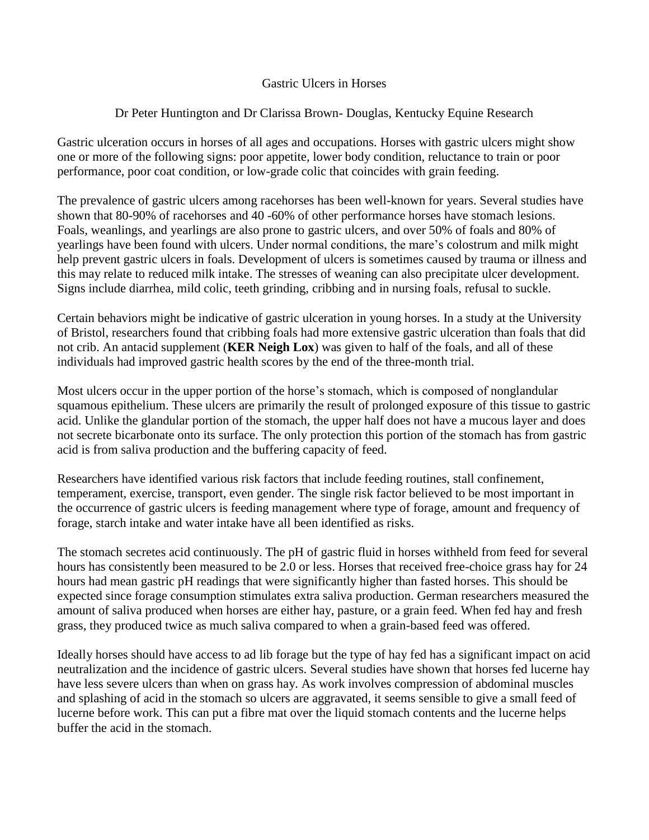## Gastric Ulcers in Horses

## Dr Peter Huntington and Dr Clarissa Brown- Douglas, Kentucky Equine Research

Gastric ulceration occurs in horses of all ages and occupations. Horses with gastric ulcers might show one or more of the following signs: poor appetite, lower body condition, reluctance to train or poor performance, poor coat condition, or low-grade colic that coincides with grain feeding.

The prevalence of gastric ulcers among racehorses has been well-known for years. Several studies have shown that 80-90% of racehorses and 40 -60% of other performance horses have stomach lesions. Foals, weanlings, and yearlings are also prone to gastric ulcers, and over 50% of foals and 80% of yearlings have been found with ulcers. Under normal conditions, the mare's colostrum and milk might help prevent gastric ulcers in foals. Development of ulcers is sometimes caused by trauma or illness and this may relate to reduced milk intake. The stresses of weaning can also precipitate ulcer development. Signs include diarrhea, mild colic, teeth grinding, cribbing and in nursing foals, refusal to suckle.

Certain behaviors might be indicative of gastric ulceration in young horses. In a study at the University of Bristol, researchers found that cribbing foals had more extensive gastric ulceration than foals that did not crib. An antacid supplement (**KER Neigh Lox**) was given to half of the foals, and all of these individuals had improved gastric health scores by the end of the three-month trial.

Most ulcers occur in the upper portion of the horse's stomach, which is composed of nonglandular squamous epithelium. These ulcers are primarily the result of prolonged exposure of this tissue to gastric acid. Unlike the glandular portion of the stomach, the upper half does not have a mucous layer and does not secrete bicarbonate onto its surface. The only protection this portion of the stomach has from gastric acid is from saliva production and the buffering capacity of feed.

Researchers have identified various risk factors that include feeding routines, stall confinement, temperament, exercise, transport, even gender. The single risk factor believed to be most important in the occurrence of gastric ulcers is feeding management where type of forage, amount and frequency of forage, starch intake and water intake have all been identified as risks.

The stomach secretes acid continuously. The pH of gastric fluid in horses withheld from feed for several hours has consistently been measured to be 2.0 or less. Horses that received free-choice grass hay for 24 hours had mean gastric pH readings that were significantly higher than fasted horses. This should be expected since forage consumption stimulates extra saliva production. German researchers measured the amount of saliva produced when horses are either hay, pasture, or a grain feed. When fed hay and fresh grass, they produced twice as much saliva compared to when a grain-based feed was offered.

Ideally horses should have access to ad lib forage but the type of hay fed has a significant impact on acid neutralization and the incidence of gastric ulcers. Several studies have shown that horses fed lucerne hay have less severe ulcers than when on grass hay. As work involves compression of abdominal muscles and splashing of acid in the stomach so ulcers are aggravated, it seems sensible to give a small feed of lucerne before work. This can put a fibre mat over the liquid stomach contents and the lucerne helps buffer the acid in the stomach.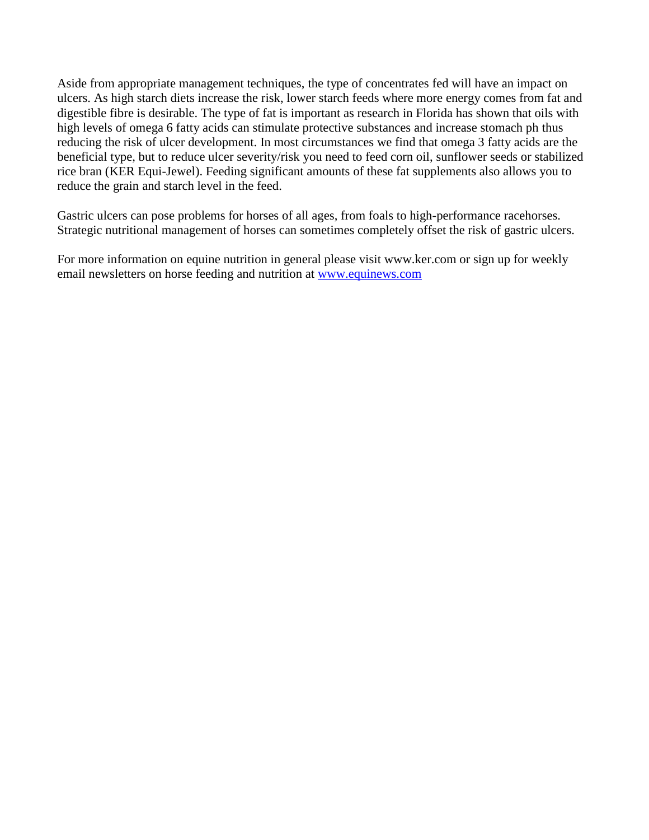Aside from appropriate management techniques, the type of concentrates fed will have an impact on ulcers. As high starch diets increase the risk, lower starch feeds where more energy comes from fat and digestible fibre is desirable. The type of fat is important as research in Florida has shown that oils with high levels of omega 6 fatty acids can stimulate protective substances and increase stomach ph thus reducing the risk of ulcer development. In most circumstances we find that omega 3 fatty acids are the beneficial type, but to reduce ulcer severity/risk you need to feed corn oil, sunflower seeds or stabilized rice bran (KER Equi-Jewel). Feeding significant amounts of these fat supplements also allows you to reduce the grain and starch level in the feed.

Gastric ulcers can pose problems for horses of all ages, from foals to high-performance racehorses. Strategic nutritional management of horses can sometimes completely offset the risk of gastric ulcers.

For more information on equine nutrition in general please visit www.ker.com or sign up for weekly email newsletters on horse feeding and nutrition at [www.equinews.com](http://www.equinews.com/)